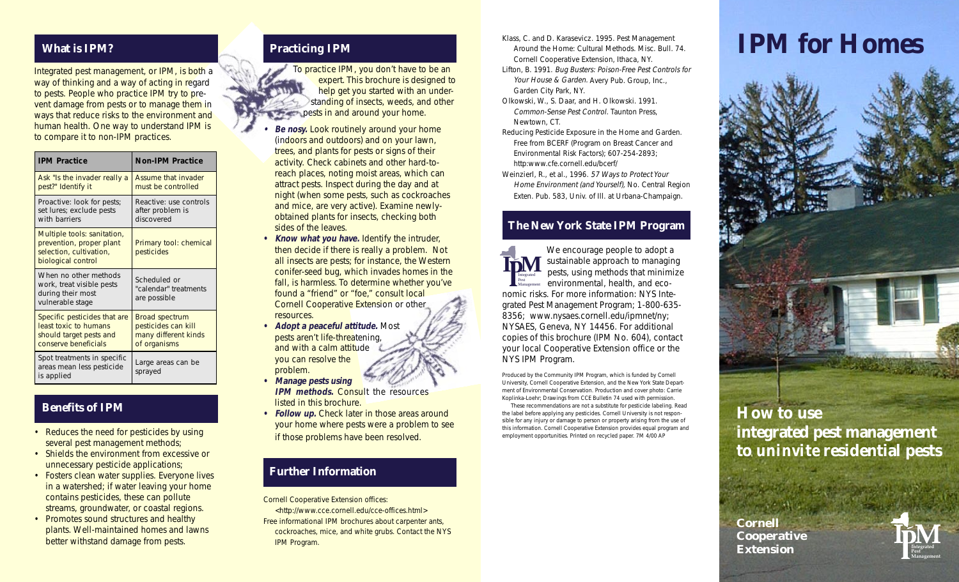# **What is IPM?**

Integrated pest management, or IPM, is both a way of thinking and a way of acting in regard to pests. People who practice IPM try to prevent damage from pests or to manage them in ways that reduce risks to the environment and human health. One way to understand IPM is to compare it to non-IPM practices.

| <b>IPM Practice</b>                                                                                      | <b>Non-IPM Practice</b>                                                              |
|----------------------------------------------------------------------------------------------------------|--------------------------------------------------------------------------------------|
| Ask "Is the invader really a<br>pest?" Identify it                                                       | Assume that invader<br>must be controlled                                            |
| Proactive: look for pests;<br>set lures; exclude pests<br>with barriers                                  | Reactive: use controls<br>after problem is<br>discovered                             |
| Multiple tools: sanitation,<br>prevention, proper plant<br>selection, cultivation,<br>biological control | Primary tool: chemical<br>pesticides                                                 |
| When no other methods<br>work, treat visible pests<br>during their most<br>vulnerable stage              | Scheduled or<br>"calendar" treatments<br>are possible                                |
| Specific pesticides that are<br>least toxic to humans<br>should target pests and<br>conserve beneficials | <b>Broad spectrum</b><br>pesticides can kill<br>many different kinds<br>of organisms |
| Spot treatments in specific<br>areas mean less pesticide<br>is applied                                   | Large areas can be<br>sprayed                                                        |

#### **Benefits of IPM**

- Reduces the need for pesticides by using several pest management methods;
- Shields the environment from excessive or unnecessary pesticide applications;
- Fosters clean water supplies. Everyone lives in a watershed; if water leaving your home contains pesticides, these can pollute streams, groundwater, or coastal regions.
- Promotes sound structures and healthy plants. Well-maintained homes and lawns better withstand damage from pests.

#### **Practicing IPM**

To practice IPM, you don't have to be an expert. This brochure is designed to help get you started with an understanding of insects, weeds, and other **Papests in and around your home.** 

- **• Be nosy.** Look routinely around your home (indoors and outdoors) and on your lawn, trees, and plants for pests or signs of their activity. Check cabinets and other hard-toreach places, noting moist areas, which can attract pests. Inspect during the day and at night (when some pests, such as cockroaches and mice, are very active). Examine newlyobtained plants for insects, checking both sides of the leaves.
- **• Know what you have.** Identify the intruder, then decide if there is really a problem. Not all insects are pests; for instance, the Western conifer-seed bug, which invades homes in the fall, is harmless. To determine whether you've found a "friend" or "foe," consult local Cornell Cooperative Extension or other resources.
- **• Adopt a peaceful attitude.** Most pests aren't life-threatening, and with a calm attitude you can resolve the problem.
- **• Manage pests using IPM methods. Consult the resources** listed in this brochure.
- **Follow up.** Check later in those areas around your home where pests were a problem to see if those problems have been resolved.

#### **Further Information**

Cornell Cooperative Extension offices:

<http://www.cce.cornell.edu/cce-offices.html> Free informational IPM brochures about carpenter ants, cockroaches, mice, and white grubs. Contact the NYS IPM Program.

- Klass, C. and D. Karasevicz. 1995. Pest Management Around the Home: Cultural Methods. Misc. Bull. 74. Cornell Cooperative Extension, Ithaca, NY.
- Lifton, B. 1991. Bug Busters: Poison-Free Pest Controls for Your House & Garden. Avery Pub. Group, Inc., Garden City Park, NY.
- Olkowski, W., S. Daar, and H. Olkowski. 1991. Common-Sense Pest Control. Taunton Press, Newtown, CT.

Reducing Pesticide Exposure in the Home and Garden. Free from BCERF (Program on Breast Cancer and Environmental Risk Factors); 607-254-2893; http:www.cfe.cornell.edu/bcerf/

Weinzierl, R., et al., 1996. 57 Ways to Protect Your Home Environment (and Yourself), No. Central Region Exten. Pub. 583, Univ. of Ill. at Urbana-Champaign.

### **The New York State IPM Program**

We encourage people to adopt a sustainable approach to managing pests, using methods that minimize environmental, health, and economic risks. For more information: NYS Integrated Pest Management Program; 1-800-635- 8356; www.nysaes.cornell.edu/ipmnet/ny; NYSAES, Geneva, NY 14456. For additional copies of this brochure (IPM No. 604), contact your local Cooperative Extension office or the NYS IPM Program. **IpM** Pest Management

Produced by the Community IPM Program, which is funded by Cornell University, Cornell Cooperative Extension, and the New York State Department of Environmental Conservation. Production and cover photo: Carrie Koplinka-Loehr; Drawings from CCE Bulletin 74 used with permission.

These recommendations are not a substitute for pesticide labeling. Read the label before applying any pesticides. Cornell University is not responsible for any injury or damage to person or property arising from the use of this information. Cornell Cooperative Extension provides equal program and employment opportunities. Printed on recycled paper. 7M 4/00 AP

# **IPM for Homes**



# **How to use integrated pest management to** *uninvite* **residential pests**

**Cornell Cooperative Extension**